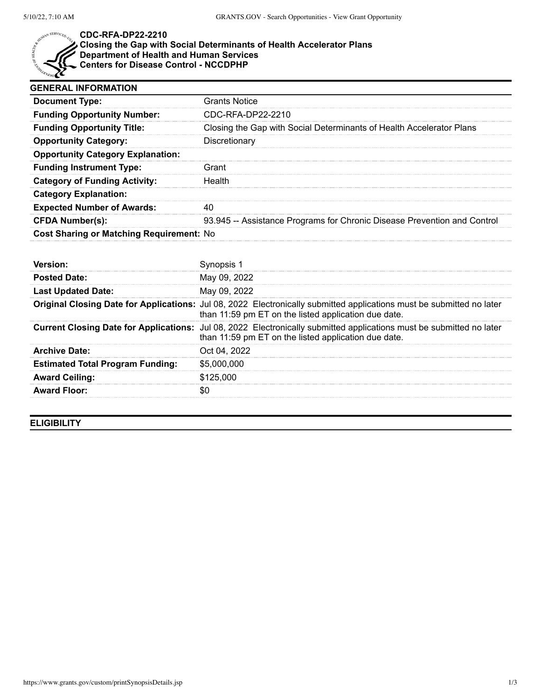

## **CDC-RFA-DP22-2210**

## **Closing the Gap with Social Determinants of Health Accelerator Plans Department of Health and Human Services**

**Centers for Disease Control - NCCDPHP**

| <b>GENERAL INFORMATION</b>                      |                                                                          |
|-------------------------------------------------|--------------------------------------------------------------------------|
| <b>Document Type:</b>                           | <b>Grants Notice</b>                                                     |
| <b>Funding Opportunity Number:</b>              | CDC-RFA-DP22-2210                                                        |
| <b>Funding Opportunity Title:</b>               | Closing the Gap with Social Determinants of Health Accelerator Plans     |
| <b>Opportunity Category:</b>                    | Discretionary                                                            |
| <b>Opportunity Category Explanation:</b>        |                                                                          |
| <b>Funding Instrument Type:</b>                 | Grant                                                                    |
| <b>Category of Funding Activity:</b>            | Health                                                                   |
| <b>Category Explanation:</b>                    |                                                                          |
| <b>Expected Number of Awards:</b>               |                                                                          |
| <b>CFDA Number(s):</b>                          | 93.945 -- Assistance Programs for Chronic Disease Prevention and Control |
| <b>Cost Sharing or Matching Requirement: No</b> |                                                                          |

| <b>Posted Date:</b>                     | May 09, 2022                                                                                                                                                                        |
|-----------------------------------------|-------------------------------------------------------------------------------------------------------------------------------------------------------------------------------------|
| <b>Last Updated Date:</b>               | May 09, 2022                                                                                                                                                                        |
|                                         | Original Closing Date for Applications: Jul 08, 2022 Electronically submitted applications must be submitted no later<br>than 11:59 pm ET on the listed application due date.       |
|                                         | <b>Current Closing Date for Applications:</b> Jul 08, 2022 Electronically submitted applications must be submitted no later<br>than 11:59 pm ET on the listed application due date. |
| <b>Archive Date:</b>                    | Oct 04, 2022                                                                                                                                                                        |
| <b>Estimated Total Program Funding:</b> | \$5,000,000                                                                                                                                                                         |
| <b>Award Ceiling:</b>                   | \$125,000                                                                                                                                                                           |
| <b>Award Floor:</b>                     |                                                                                                                                                                                     |

**ELIGIBILITY**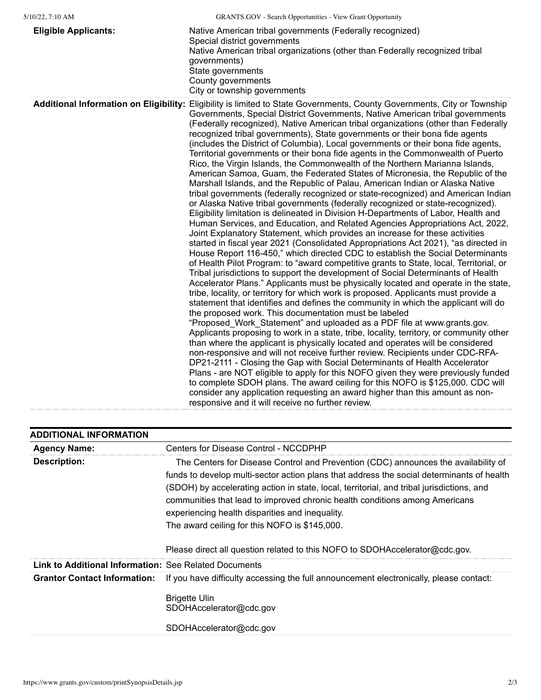| $5/10/22$ , 7:10 AM | <b>GRANTS.GOV</b> - Search Opportunities - View Grant Opportunity |
|---------------------|-------------------------------------------------------------------|
|                     |                                                                   |

| <b>Eligible Applicants:</b> | Native American tribal governments (Federally recognized)<br>Special district governments<br>Native American tribal organizations (other than Federally recognized tribal<br>governments)<br>State governments<br>County governments<br>City or township governments                                                                                                                                                                                                                                                                                                                                                                                                                                                                                                                                                                                                                                                                                                                                                                                                                                                                                                                                                                                                                                                                                                                                                                                                                                                                                                                                                                                                                                                                                                                                                                                                                                                                                                                                                                                                                                                                                                                                                                                                                                                                                                                                                                                                                                                                                                                                                                                            |
|-----------------------------|-----------------------------------------------------------------------------------------------------------------------------------------------------------------------------------------------------------------------------------------------------------------------------------------------------------------------------------------------------------------------------------------------------------------------------------------------------------------------------------------------------------------------------------------------------------------------------------------------------------------------------------------------------------------------------------------------------------------------------------------------------------------------------------------------------------------------------------------------------------------------------------------------------------------------------------------------------------------------------------------------------------------------------------------------------------------------------------------------------------------------------------------------------------------------------------------------------------------------------------------------------------------------------------------------------------------------------------------------------------------------------------------------------------------------------------------------------------------------------------------------------------------------------------------------------------------------------------------------------------------------------------------------------------------------------------------------------------------------------------------------------------------------------------------------------------------------------------------------------------------------------------------------------------------------------------------------------------------------------------------------------------------------------------------------------------------------------------------------------------------------------------------------------------------------------------------------------------------------------------------------------------------------------------------------------------------------------------------------------------------------------------------------------------------------------------------------------------------------------------------------------------------------------------------------------------------------------------------------------------------------------------------------------------------|
|                             | Additional Information on Eligibility: Eligibility is limited to State Governments, County Governments, City or Township<br>Governments, Special District Governments, Native American tribal governments<br>(Federally recognized), Native American tribal organizations (other than Federally<br>recognized tribal governments), State governments or their bona fide agents<br>(includes the District of Columbia), Local governments or their bona fide agents,<br>Territorial governments or their bona fide agents in the Commonwealth of Puerto<br>Rico, the Virgin Islands, the Commonwealth of the Northern Marianna Islands,<br>American Samoa, Guam, the Federated States of Micronesia, the Republic of the<br>Marshall Islands, and the Republic of Palau, American Indian or Alaska Native<br>tribal governments (federally recognized or state-recognized) and American Indian<br>or Alaska Native tribal governments (federally recognized or state-recognized).<br>Eligibility limitation is delineated in Division H-Departments of Labor, Health and<br>Human Services, and Education, and Related Agencies Appropriations Act, 2022,<br>Joint Explanatory Statement, which provides an increase for these activities<br>started in fiscal year 2021 (Consolidated Appropriations Act 2021), "as directed in<br>House Report 116-450," which directed CDC to establish the Social Determinants<br>of Health Pilot Program: to "award competitive grants to State, local, Territorial, or<br>Tribal jurisdictions to support the development of Social Determinants of Health<br>Accelerator Plans." Applicants must be physically located and operate in the state,<br>tribe, locality, or territory for which work is proposed. Applicants must provide a<br>statement that identifies and defines the community in which the applicant will do<br>the proposed work. This documentation must be labeled<br>"Proposed_Work_Statement" and uploaded as a PDF file at www.grants.gov.<br>Applicants proposing to work in a state, tribe, locality, territory, or community other<br>than where the applicant is physically located and operates will be considered<br>non-responsive and will not receive further review. Recipients under CDC-RFA-<br>DP21-2111 - Closing the Gap with Social Determinants of Health Accelerator<br>Plans - are NOT eligible to apply for this NOFO given they were previously funded<br>to complete SDOH plans. The award ceiling for this NOFO is \$125,000. CDC will<br>consider any application requesting an award higher than this amount as non-<br>responsive and it will receive no further review. |

| <b>ADDITIONAL INFORMATION</b>                                |                                                                                                                                                                                                                                                                                                                                                                                                                                                                 |
|--------------------------------------------------------------|-----------------------------------------------------------------------------------------------------------------------------------------------------------------------------------------------------------------------------------------------------------------------------------------------------------------------------------------------------------------------------------------------------------------------------------------------------------------|
| <b>Agency Name:</b>                                          | <b>Centers for Disease Control - NCCDPHP</b>                                                                                                                                                                                                                                                                                                                                                                                                                    |
| <b>Description:</b>                                          | The Centers for Disease Control and Prevention (CDC) announces the availability of<br>funds to develop multi-sector action plans that address the social determinants of health<br>(SDOH) by accelerating action in state, local, territorial, and tribal jurisdictions, and<br>communities that lead to improved chronic health conditions among Americans<br>experiencing health disparities and inequality.<br>The award ceiling for this NOFO is \$145,000. |
|                                                              | Please direct all question related to this NOFO to SDOHAccelerator@cdc.gov.                                                                                                                                                                                                                                                                                                                                                                                     |
| <b>Link to Additional Information: See Related Documents</b> |                                                                                                                                                                                                                                                                                                                                                                                                                                                                 |
| <b>Grantor Contact Information:</b>                          | If you have difficulty accessing the full announcement electronically, please contact:                                                                                                                                                                                                                                                                                                                                                                          |
|                                                              | <b>Brigette Ulin</b><br>SDOHAccelerator@cdc.gov                                                                                                                                                                                                                                                                                                                                                                                                                 |
|                                                              | SDOHAccelerator@cdc.gov                                                                                                                                                                                                                                                                                                                                                                                                                                         |